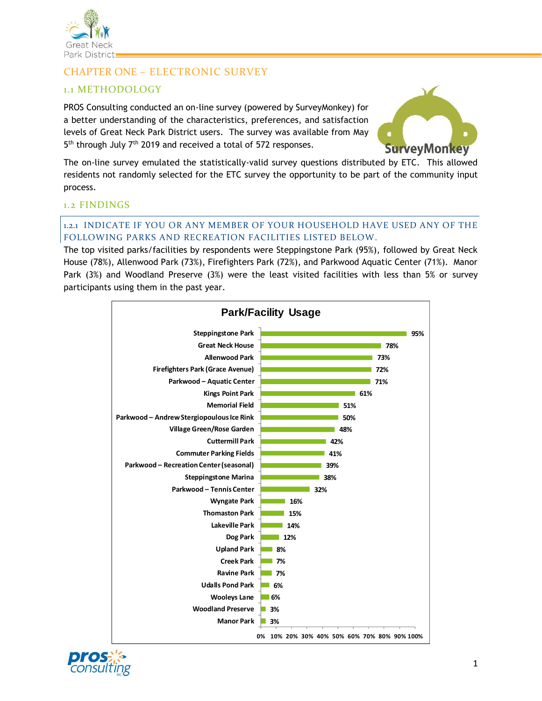

# CHAPTER ONE – ELECTRONIC SURVEY

# 1.1 METHODOLOGY

PROS Consulting conducted an on-line survey (powered by SurveyMonkey) for a better understanding of the characteristics, preferences, and satisfaction levels of Great Neck Park District users. The survey was available from May 5<sup>th</sup> through July 7<sup>th</sup> 2019 and received a total of 572 responses.



The on-line survey emulated the statistically-valid survey questions distributed by ETC. This allowed residents not randomly selected for the ETC survey the opportunity to be part of the community input process.

# 1.2 FINDINGS

#### 1.2.1 INDICATE IF YOU OR ANY MEMBER OF YOUR HOUSEHOLD HAVE USED ANY OF THE FOLLOWING PARKS AND RECREATION FACILITIES LISTED BELOW.

The top visited parks/facilities by respondents were Steppingstone Park (95%), followed by Great Neck House (78%), Allenwood Park (73%), Firefighters Park (72%), and Parkwood Aquatic Center (71%). Manor Park (3%) and Woodland Preserve (3%) were the least visited facilities with less than 5% or survey participants using them in the past year.



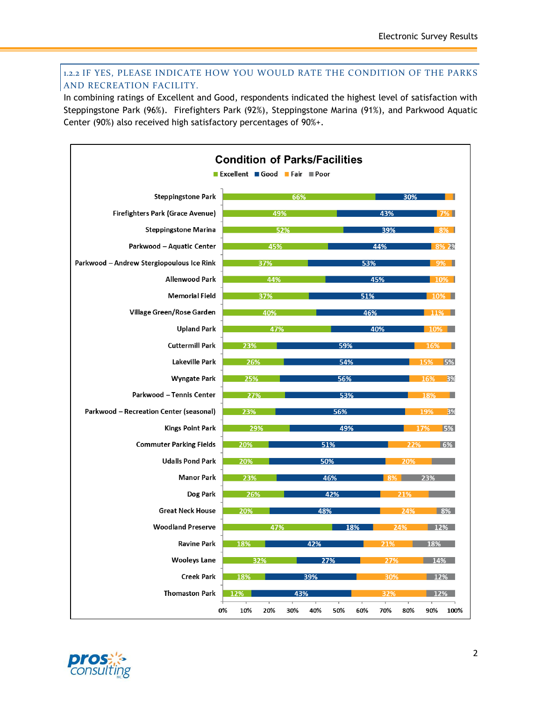# 1.2.2 IF YES, PLEASE INDICATE HOW YOU WOULD RATE THE CONDITION OF THE PARKS AND RECREATION FACILITY.

In combining ratings of Excellent and Good, respondents indicated the highest level of satisfaction with Steppingstone Park (96%). Firefighters Park (92%), Steppingstone Marina (91%), and Parkwood Aquatic Center (90%) also received high satisfactory percentages of 90%+.



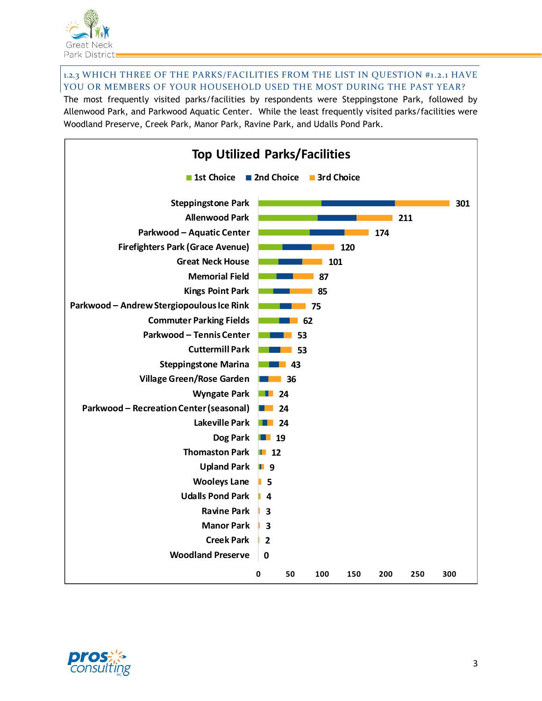

1.2.3 WHICH THREE OF THE PARKS/FACILITIES FROM THE LIST IN QUESTION #1.2.1 HAVE YOU OR MEMBERS OF YOUR HOUSEHOLD USED THE MOST DURING THE PAST YEAR?

The most frequently visited parks/facilities by respondents were Steppingstone Park, followed by Allenwood Park, and Parkwood Aquatic Center. While the least frequently visited parks/facilities were Woodland Preserve, Creek Park, Manor Park, Ravine Park, and Udalls Pond Park.



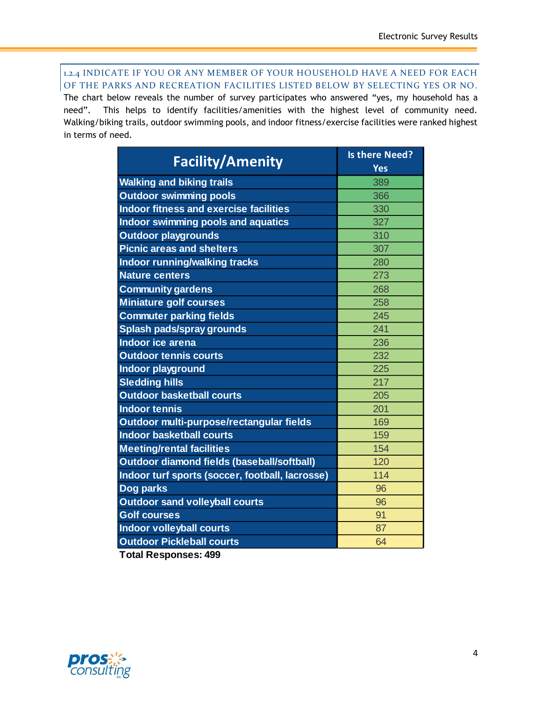1.2.4 INDICATE IF YOU OR ANY MEMBER OF YOUR HOUSEHOLD HAVE A NEED FOR EACH OF THE PARKS AND RECREATION FACILITIES LISTED BELOW BY SELECTING YES OR NO.

The chart below reveals the number of survey participates who answered "yes, my household has a need". This helps to identify facilities/amenities with the highest level of community need. Walking/biking trails, outdoor swimming pools, and indoor fitness/exercise facilities were ranked highest in terms of need.

| <b>Facility/Amenity</b>                         | <b>Is there Need?</b><br><b>Yes</b> |
|-------------------------------------------------|-------------------------------------|
| <b>Walking and biking trails</b>                | 389                                 |
| <b>Outdoor swimming pools</b>                   | 366                                 |
| <b>Indoor fitness and exercise facilities</b>   | 330                                 |
| <b>Indoor swimming pools and aquatics</b>       | 327                                 |
| <b>Outdoor playgrounds</b>                      | 310                                 |
| <b>Picnic areas and shelters</b>                | 307                                 |
| Indoor running/walking tracks                   | 280                                 |
| <b>Nature centers</b>                           | 273                                 |
| <b>Community gardens</b>                        | 268                                 |
| <b>Miniature golf courses</b>                   | 258                                 |
| <b>Commuter parking fields</b>                  | 245                                 |
| <b>Splash pads/spray grounds</b>                | 241                                 |
| Indoor ice arena                                | 236                                 |
| <b>Outdoor tennis courts</b>                    | 232                                 |
| Indoor playground                               | 225                                 |
| <b>Sledding hills</b>                           | 217                                 |
| <b>Outdoor basketball courts</b>                | 205                                 |
| <b>Indoor tennis</b>                            | 201                                 |
| Outdoor multi-purpose/rectangular fields        | 169                                 |
| <b>Indoor basketball courts</b>                 | 159                                 |
| <b>Meeting/rental facilities</b>                | 154                                 |
| Outdoor diamond fields (baseball/softball)      | 120                                 |
| Indoor turf sports (soccer, football, lacrosse) | 114                                 |
| <b>Dog parks</b>                                | 96                                  |
| <b>Outdoor sand volleyball courts</b>           | 96                                  |
| <b>Golf courses</b>                             | 91                                  |
| <b>Indoor volleyball courts</b>                 | 87                                  |
| <b>Outdoor Pickleball courts</b>                | 64                                  |

**Total Responses: 499**

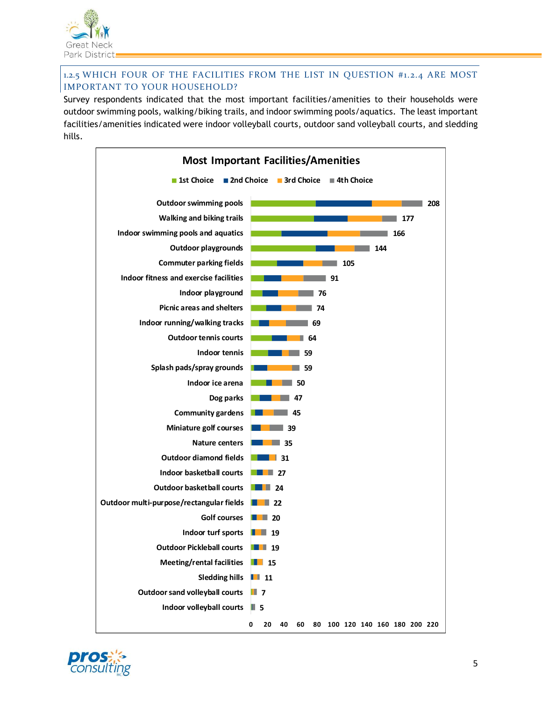

## 1.2.5 WHICH FOUR OF THE FACILITIES FROM THE LIST IN QUESTION #1.2.4 ARE MOST IMPORTANT TO YOUR HOUSEHOLD?

Survey respondents indicated that the most important facilities/amenities to their households were outdoor swimming pools, walking/biking trails, and indoor swimming pools/aquatics. The least important facilities/amenities indicated were indoor volleyball courts, outdoor sand volleyball courts, and sledding hills.



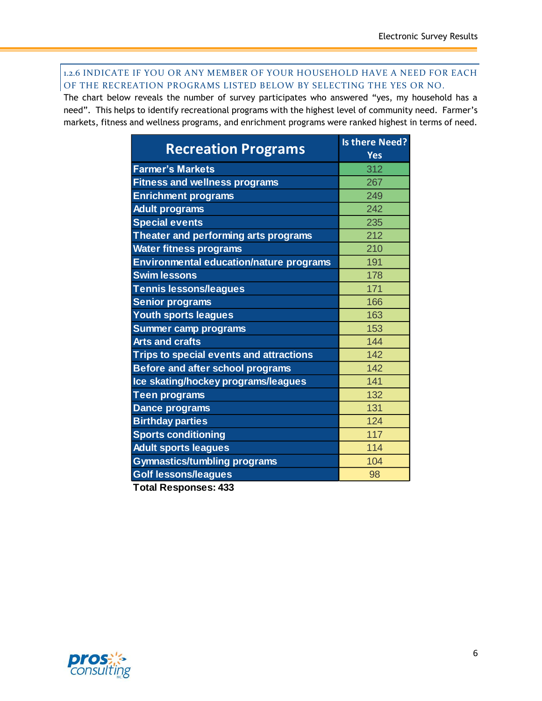#### 1.2.6 INDICATE IF YOU OR ANY MEMBER OF YOUR HOUSEHOLD HAVE A NEED FOR EACH OF THE RECREATION PROGRAMS LISTED BELOW BY SELECTING THE YES OR NO.

The chart below reveals the number of survey participates who answered "yes, my household has a need". This helps to identify recreational programs with the highest level of community need. Farmer's markets, fitness and wellness programs, and enrichment programs were ranked highest in terms of need.

| <b>Recreation Programs</b>                     | <b>Is there Need?</b><br><b>Yes</b> |
|------------------------------------------------|-------------------------------------|
| <b>Farmer's Markets</b>                        | 312                                 |
| <b>Fitness and wellness programs</b>           | 267                                 |
| <b>Enrichment programs</b>                     | 249                                 |
| <b>Adult programs</b>                          | 242                                 |
| <b>Special events</b>                          | 235                                 |
| Theater and performing arts programs           | 212                                 |
| <b>Water fitness programs</b>                  | 210                                 |
| <b>Environmental education/nature programs</b> | 191                                 |
| <b>Swim lessons</b>                            | 178                                 |
| <b>Tennis lessons/leagues</b>                  | 171                                 |
| <b>Senior programs</b>                         | 166                                 |
| <b>Youth sports leagues</b>                    | 163                                 |
| <b>Summer camp programs</b>                    | 153                                 |
| <b>Arts and crafts</b>                         | 144                                 |
| <b>Trips to special events and attractions</b> | 142                                 |
| <b>Before and after school programs</b>        | 142                                 |
| Ice skating/hockey programs/leagues            | 141                                 |
| <b>Teen programs</b>                           | 132                                 |
| <b>Dance programs</b>                          | 131                                 |
| <b>Birthday parties</b>                        | 124                                 |
| <b>Sports conditioning</b>                     | 117                                 |
| <b>Adult sports leagues</b>                    | 114                                 |
| <b>Gymnastics/tumbling programs</b>            | 104                                 |
| <b>Golf lessons/leagues</b>                    | 98                                  |

**Total Responses: 433**

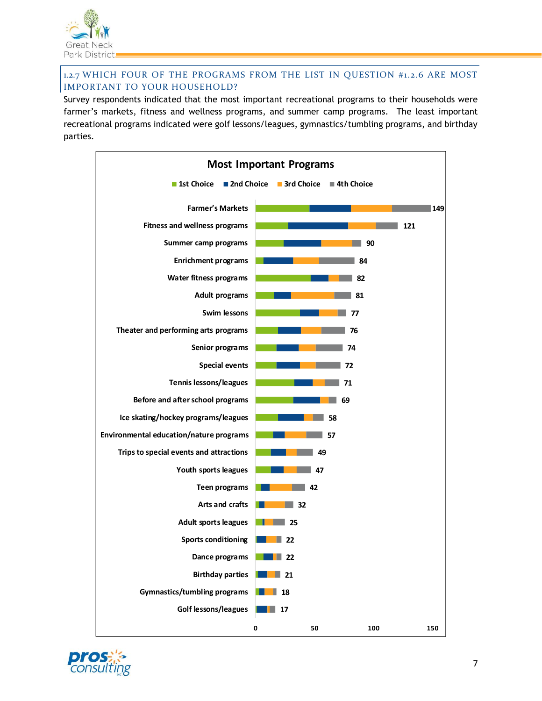

## 1.2.7 WHICH FOUR OF THE PROGRAMS FROM THE LIST IN QUESTION #1.2.6 ARE MOST IMPORTANT TO YOUR HOUSEHOLD?

Survey respondents indicated that the most important recreational programs to their households were farmer's markets, fitness and wellness programs, and summer camp programs. The least important recreational programs indicated were golf lessons/leagues, gymnastics/tumbling programs, and birthday parties.



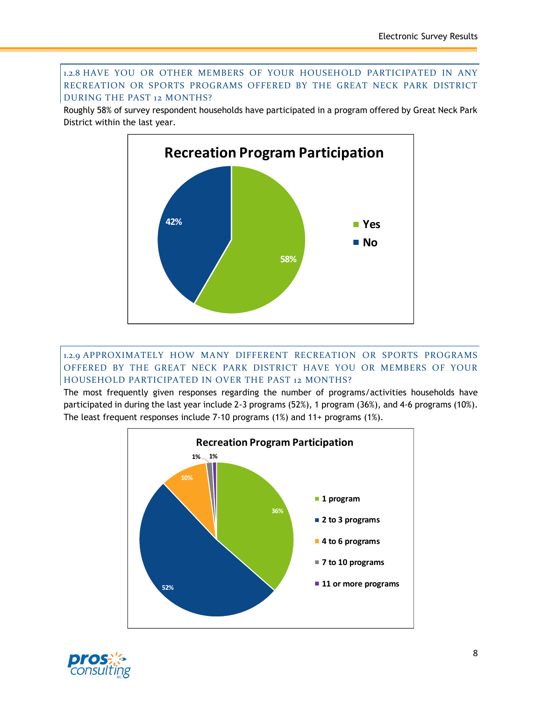#### 1.2.8 HAVE YOU OR OTHER MEMBERS OF YOUR HOUSEHOLD PARTICIPATED IN ANY RECREATION OR SPORTS PROGRAMS OFFERED BY THE GREAT NECK PARK DISTRICT DURING THE PAST 12 MONTHS?

Roughly 58% of survey respondent households have participated in a program offered by Great Neck Park District within the last year.



1.2.9 APPROXIMATELY HOW MANY DIFFERENT RECREATION OR SPORTS PROGRAMS OFFERED BY THE GREAT NECK PARK DISTRICT HAVE YOU OR MEMBERS OF YOUR HOUSEHOLD PARTICIPATED IN OVER THE PAST 12 MONTHS?

The most frequently given responses regarding the number of programs/activities households have participated in during the last year include 2-3 programs (52%), 1 program (36%), and 4-6 programs (10%). The least frequent responses include 7-10 programs (1%) and 11+ programs (1%).



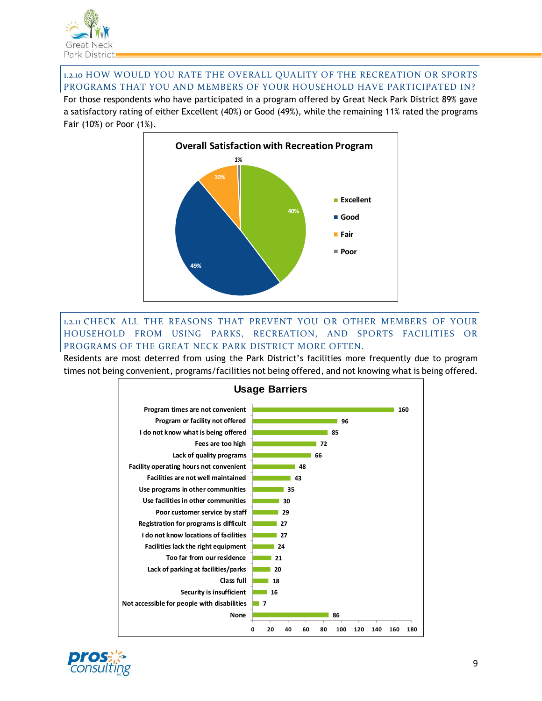

1.2.10 HOW WOULD YOU RATE THE OVERALL QUALITY OF THE RECREATION OR SPORTS PROGRAMS THAT YOU AND MEMBERS OF YOUR HOUSEHOLD HAVE PARTICIPATED IN?

For those respondents who have participated in a program offered by Great Neck Park District 89% gave a satisfactory rating of either Excellent (40%) or Good (49%), while the remaining 11% rated the programs Fair (10%) or Poor (1%).



1.2.11 CHECK ALL THE REASONS THAT PREVENT YOU OR OTHER MEMBERS OF YOUR HOUSEHOLD FROM USING PARKS, RECREATION, AND SPORTS FACILITIES OR PROGRAMS OF THE GREAT NECK PARK DISTRICT MORE OFTEN.

Residents are most deterred from using the Park District's facilities more frequently due to program times not being convenient, programs/facilities not being offered, and not knowing what is being offered.



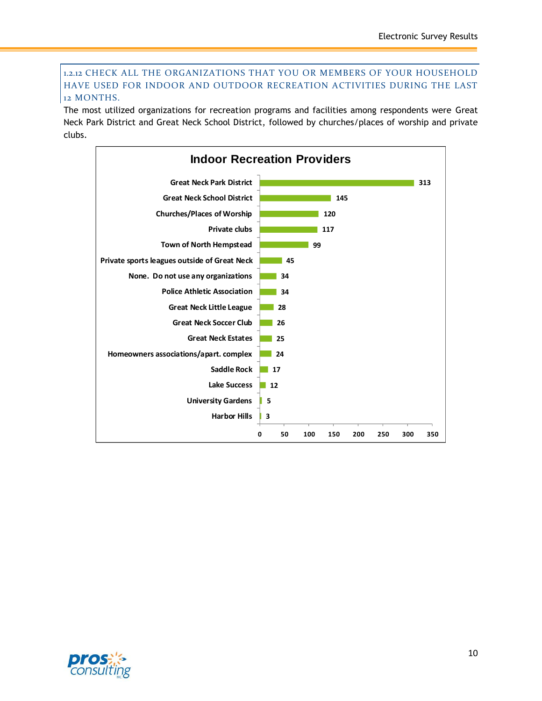#### 1.2.12 CHECK ALL THE ORGANIZATIONS THAT YOU OR MEMBERS OF YOUR HOUSEHOLD HAVE USED FOR INDOOR AND OUTDOOR RECREATION ACTIVITIES DURING THE LAST 12 MONTHS.

The most utilized organizations for recreation programs and facilities among respondents were Great Neck Park District and Great Neck School District, followed by churches/places of worship and private clubs.



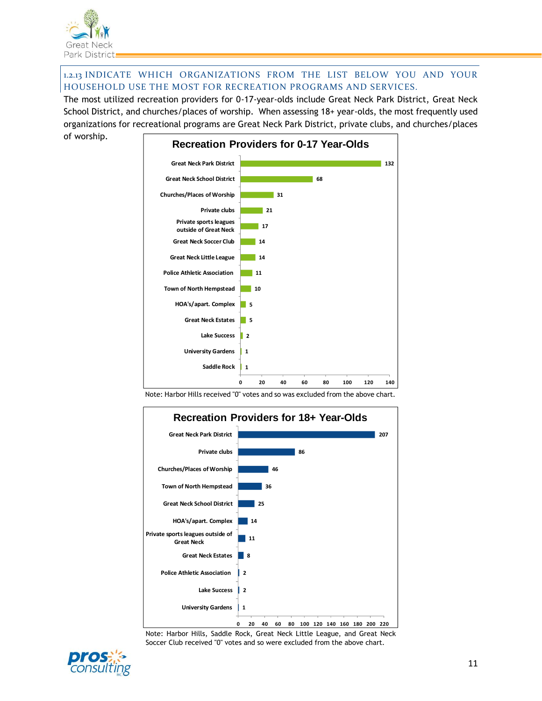

1.2.13 INDICATE WHICH ORGANIZATIONS FROM THE LIST BELOW YOU AND YOUR HOUSEHOLD USE THE MOST FOR RECREATION PROGRAMS AND SERVICES.

The most utilized recreation providers for 0-17-year-olds include Great Neck Park District, Great Neck School District, and churches/places of worship. When assessing 18+ year-olds, the most frequently used organizations for recreational programs are Great Neck Park District, private clubs, and churches/places of worship.



Note: Harbor Hills received "0" votes and so was excluded from the above chart.



Note: Harbor Hills, Saddle Rock, Great Neck Little League, and Great Neck Soccer Club received "0" votes and so were excluded from the above chart.

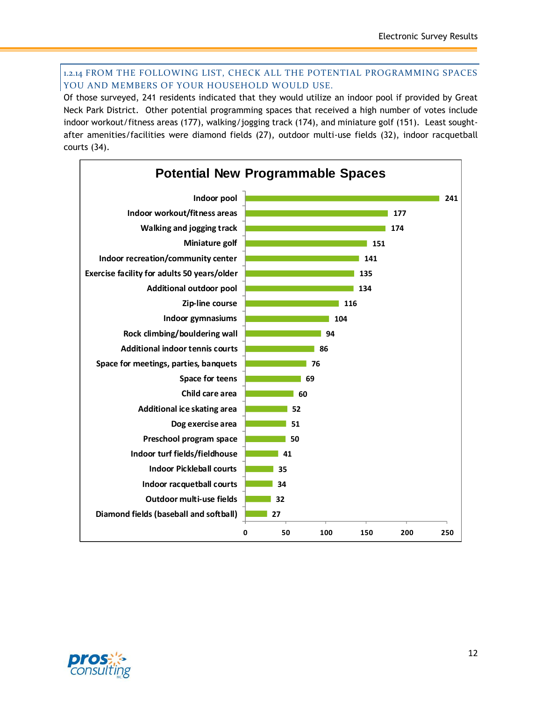#### 1.2.14 FROM THE FOLLOWING LIST, CHECK ALL THE POTENTIAL PROGRAMMING SPACES YOU AND MEMBERS OF YOUR HOUSEHOLD WOULD USE.

Of those surveyed, 241 residents indicated that they would utilize an indoor pool if provided by Great Neck Park District. Other potential programming spaces that received a high number of votes include indoor workout/fitness areas (177), walking/jogging track (174), and miniature golf (151). Least soughtafter amenities/facilities were diamond fields (27), outdoor multi-use fields (32), indoor racquetball courts (34).



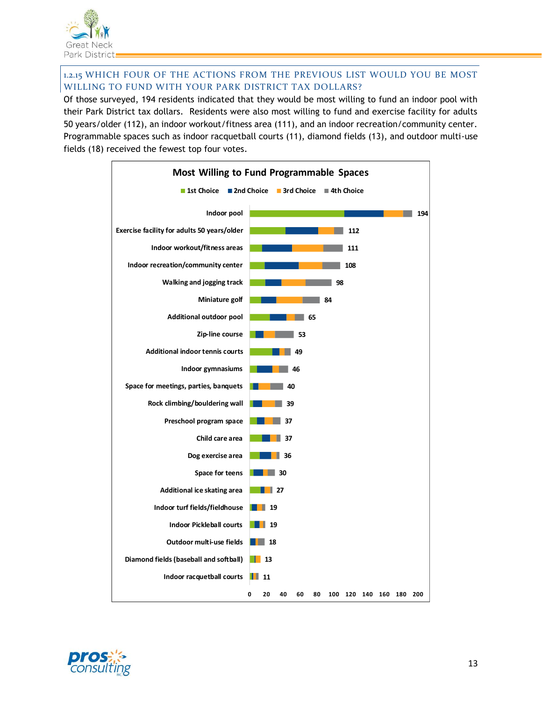

# 1.2.15 WHICH FOUR OF THE ACTIONS FROM THE PREVIOUS LIST WOULD YOU BE MOST WILLING TO FUND WITH YOUR PARK DISTRICT TAX DOLLARS?

Of those surveyed, 194 residents indicated that they would be most willing to fund an indoor pool with their Park District tax dollars. Residents were also most willing to fund and exercise facility for adults 50 years/older (112), an indoor workout/fitness area (111), and an indoor recreation/community center. Programmable spaces such as indoor racquetball courts (11), diamond fields (13), and outdoor multi-use fields (18) received the fewest top four votes.



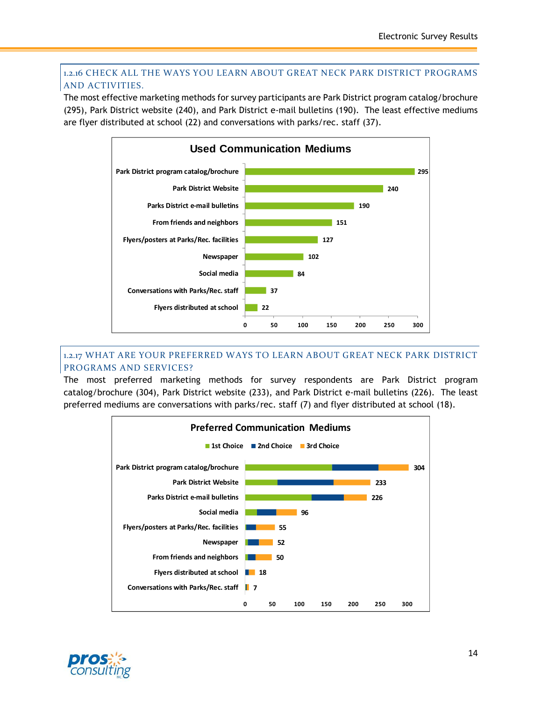## 1.2.16 CHECK ALL THE WAYS YOU LEARN ABOUT GREAT NECK PARK DISTRICT PROGRAMS AND ACTIVITIES.

The most effective marketing methods for survey participants are Park District program catalog/brochure (295), Park District website (240), and Park District e-mail bulletins (190). The least effective mediums are flyer distributed at school (22) and conversations with parks/rec. staff (37).



#### 1.2.17 WHAT ARE YOUR PREFERRED WAYS TO LEARN ABOUT GREAT NECK PARK DISTRICT PROGRAMS AND SERVICES?

The most preferred marketing methods for survey respondents are Park District program catalog/brochure (304), Park District website (233), and Park District e-mail bulletins (226). The least preferred mediums are conversations with parks/rec. staff (7) and flyer distributed at school (18).



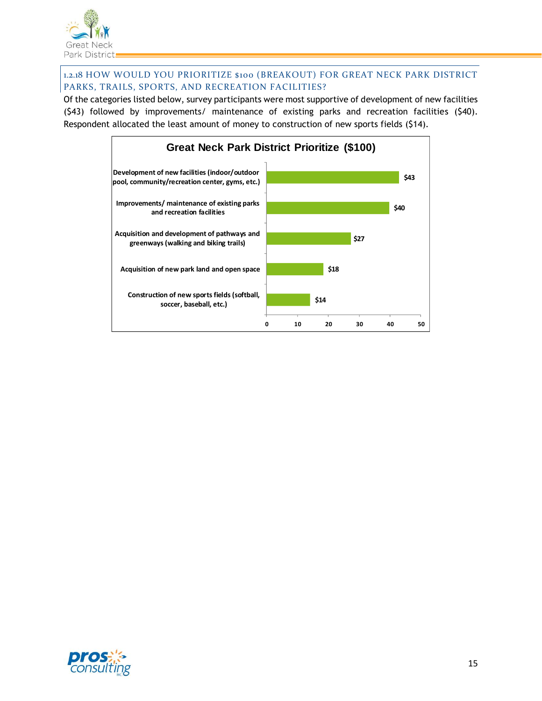

# 1.2.18 HOW WOULD YOU PRIORITIZE \$100 (BREAKOUT) FOR GREAT NECK PARK DISTRICT PARKS, TRAILS, SPORTS, AND RECREATION FACILITIES?

Of the categories listed below, survey participants were most supportive of development of new facilities (\$43) followed by improvements/ maintenance of existing parks and recreation facilities (\$40). Respondent allocated the least amount of money to construction of new sports fields (\$14).



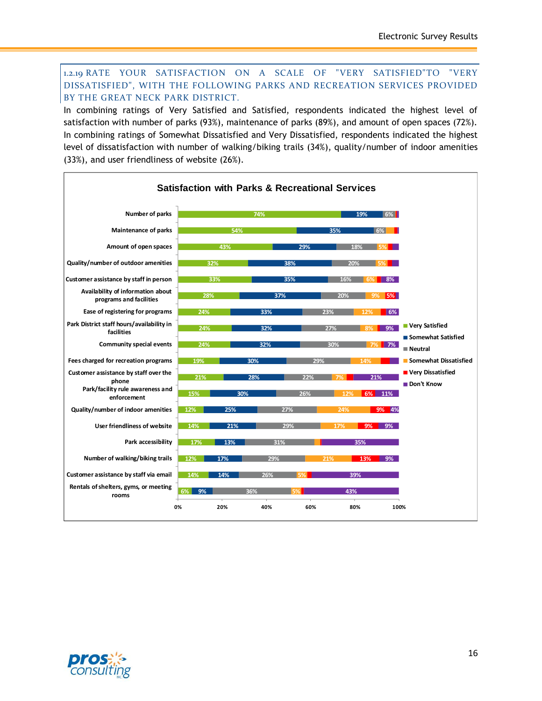#### 1.2.19 RATE YOUR SATISFACTION ON A SCALE OF "VERY SATISFIED"TO "VERY DISSATISFIED", WITH THE FOLLOWING PARKS AND RECREATION SERVICES PROVIDED BY THE GREAT NECK PARK DISTRICT.

In combining ratings of Very Satisfied and Satisfied, respondents indicated the highest level of satisfaction with number of parks (93%), maintenance of parks (89%), and amount of open spaces (72%). In combining ratings of Somewhat Dissatisfied and Very Dissatisfied, respondents indicated the highest level of dissatisfaction with number of walking/biking trails (34%), quality/number of indoor amenities (33%), and user friendliness of website (26%).



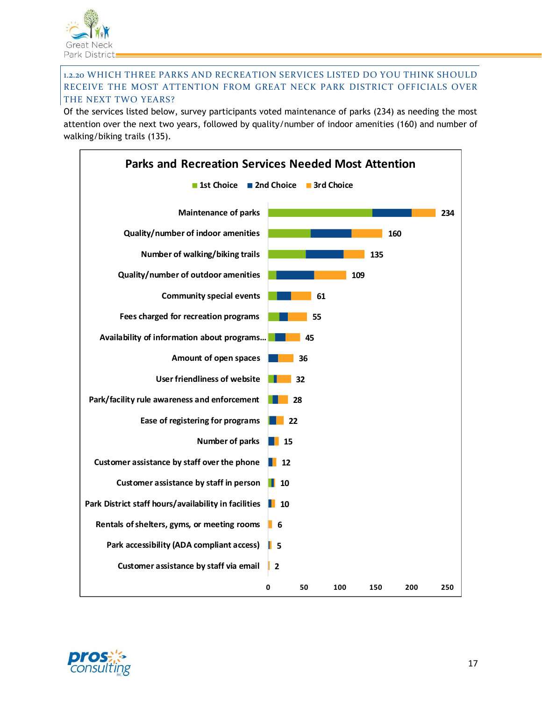

#### 1.2.20 WHICH THREE PARKS AND RECREATION SERVICES LISTED DO YOU THINK SHOULD RECEIVE THE MOST ATTENTION FROM GREAT NECK PARK DISTRICT OFFICIALS OVER THE NEXT TWO YEARS?

Of the services listed below, survey participants voted maintenance of parks (234) as needing the most attention over the next two years, followed by quality/number of indoor amenities (160) and number of walking/biking trails (135).



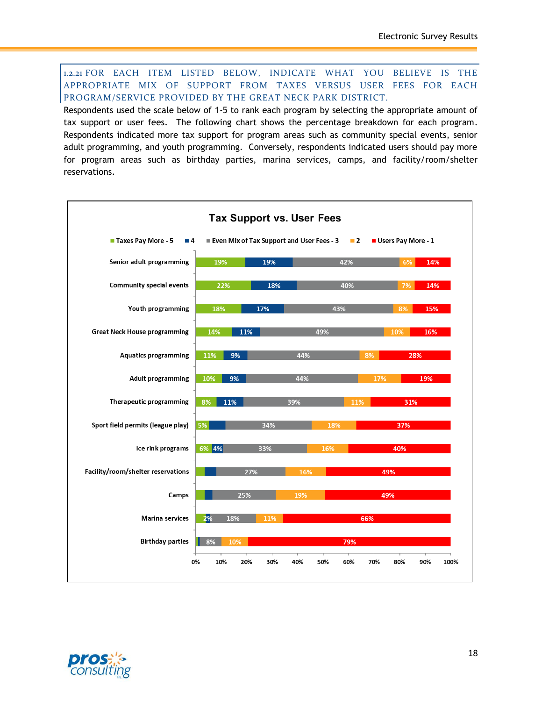1.2.21 FOR EACH ITEM LISTED BELOW, INDICATE WHAT YOU BELIEVE IS THE APPROPRIATE MIX OF SUPPORT FROM TAXES VERSUS USER FEES FOR EACH PROGRAM/SERVICE PROVIDED BY THE GREAT NECK PARK DISTRICT.

Respondents used the scale below of 1-5 to rank each program by selecting the appropriate amount of tax support or user fees. The following chart shows the percentage breakdown for each program. Respondents indicated more tax support for program areas such as community special events, senior adult programming, and youth programming. Conversely, respondents indicated users should pay more for program areas such as birthday parties, marina services, camps, and facility/room/shelter reservations.



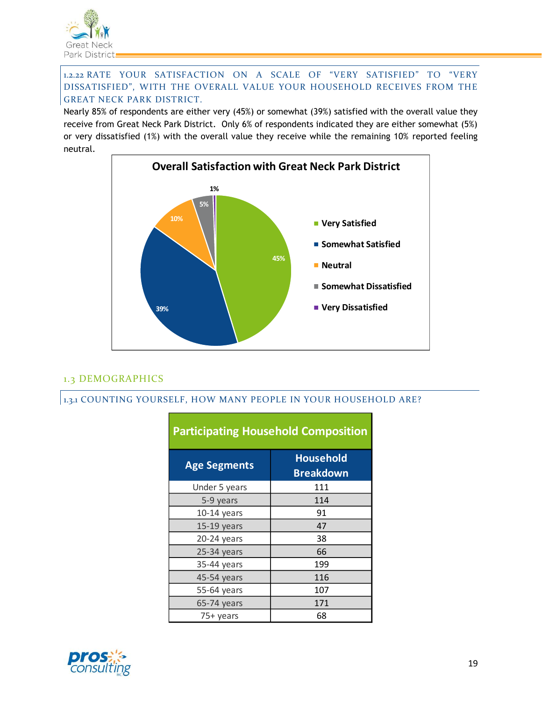

#### 1.2.22 RATE YOUR SATISFACTION ON A SCALE OF "VERY SATISFIED" TO "VERY DISSATISFIED", WITH THE OVERALL VALUE YOUR HOUSEHOLD RECEIVES FROM THE GREAT NECK PARK DISTRICT.

Nearly 85% of respondents are either very (45%) or somewhat (39%) satisfied with the overall value they receive from Great Neck Park District. Only 6% of respondents indicated they are either somewhat (5%) or very dissatisfied (1%) with the overall value they receive while the remaining 10% reported feeling neutral.



# 1.3 DEMOGRAPHICS

#### 1.3.1 COUNTING YOURSELF, HOW MANY PEOPLE IN YOUR HOUSEHOLD ARE?

| Participating Housenoid Composition |                                      |
|-------------------------------------|--------------------------------------|
| <b>Age Segments</b>                 | <b>Household</b><br><b>Breakdown</b> |
| Under 5 years                       | 111                                  |
| 5-9 years                           | 114                                  |
| $10-14$ years                       | 91                                   |
| 15-19 years                         | 47                                   |
| 20-24 years                         | 38                                   |
| $25-34$ years                       | 66                                   |
| 35-44 years                         | 199                                  |
| 45-54 years                         | 116                                  |
| 55-64 years                         | 107                                  |
| 65-74 years                         | 171                                  |
| 75+ years                           | 68                                   |

# **Participating Household Composition**

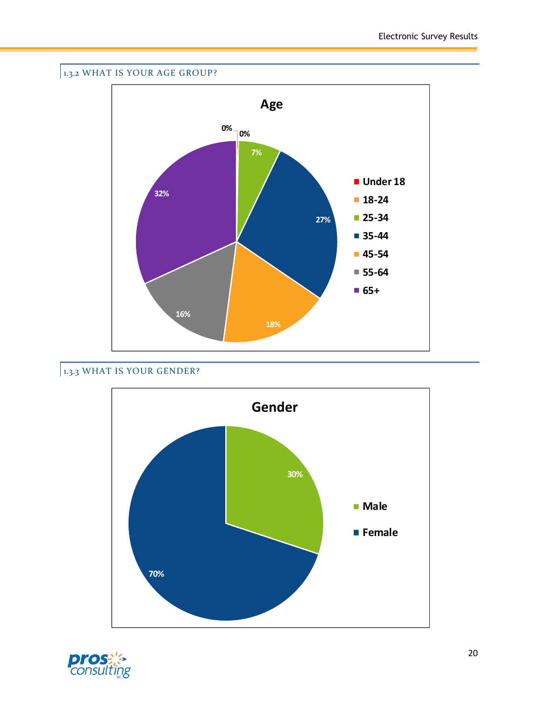

# 1.3.3 WHAT IS YOUR GENDER?



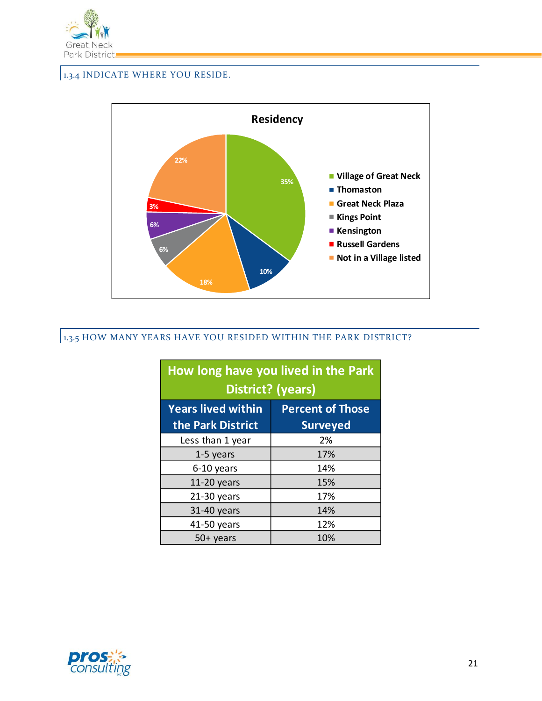

# 1.3.4 INDICATE WHERE YOU RESIDE.



# 1.3.5 HOW MANY YEARS HAVE YOU RESIDED WITHIN THE PARK DISTRICT?

|                           | How long have you lived in the Park<br><b>District?</b> (years) |
|---------------------------|-----------------------------------------------------------------|
| <b>Years lived within</b> | <b>Percent of Those</b>                                         |
| the Park District         | <b>Surveyed</b>                                                 |
| Less than 1 year          | 2%                                                              |
| 1-5 years                 | 17%                                                             |
| 6-10 years                | 14%                                                             |
| $11-20$ years             | 15%                                                             |
| $21-30$ years             | 17%                                                             |
| 31-40 years               | 14%                                                             |
| 41-50 years               | 12%                                                             |
| $50+$ years               | 10%                                                             |

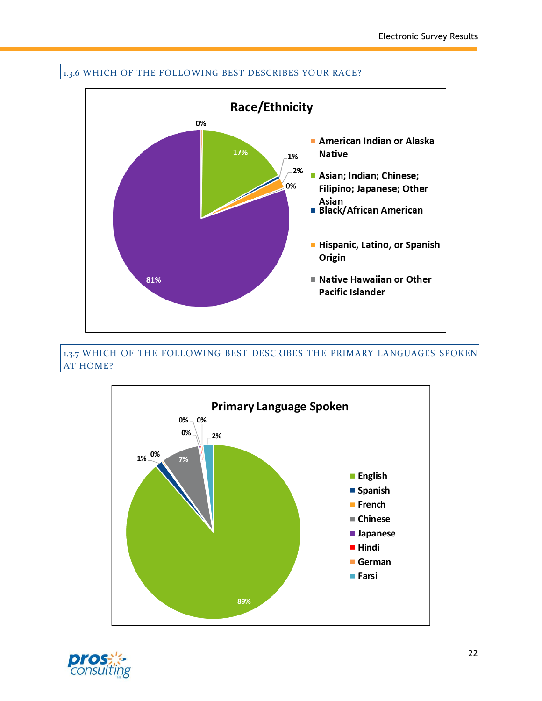

# 1.3.6 WHICH OF THE FOLLOWING BEST DESCRIBES YOUR RACE?

1.3.7 WHICH OF THE FOLLOWING BEST DESCRIBES THE PRIMARY LANGUAGES SPOKEN AT HOME?



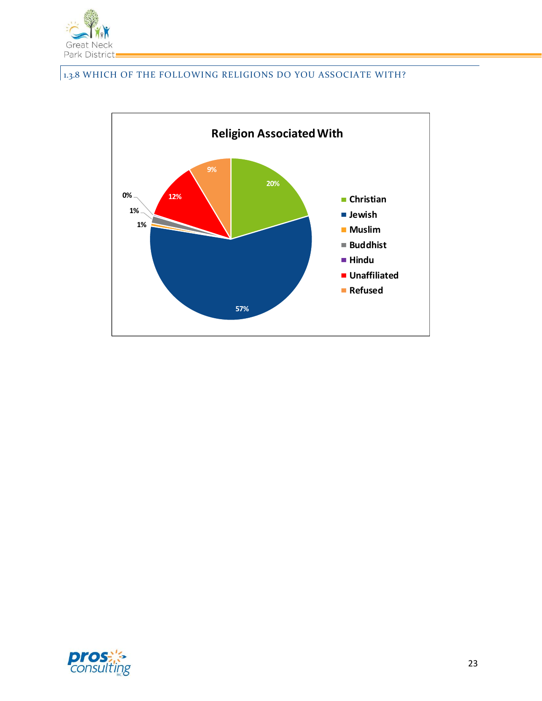

# 1.3.8 WHICH OF THE FOLLOWING RELIGIONS DO YOU ASSOCIATE WITH?



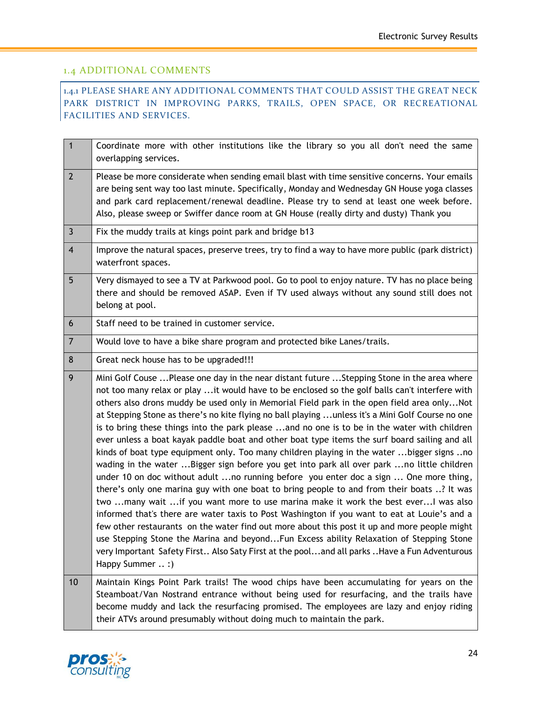## 1.4 ADDITIONAL COMMENTS

1.4.1 PLEASE SHARE ANY ADDITIONAL COMMENTS THAT COULD ASSIST THE GREAT NECK PARK DISTRICT IN IMPROVING PARKS, TRAILS, OPEN SPACE, OR RECREATIONAL FACILITIES AND SERVICES.

| $\mathbf{1}$    | Coordinate more with other institutions like the library so you all don't need the same<br>overlapping services.                                                                                                                                                                                                                                                                                                                                                                                                                                                                                                                                                                                                                                                                                                                                                                                                                                                                                                                                                                                                                                                                                                                                                                                                                                                                                                                                                                         |
|-----------------|------------------------------------------------------------------------------------------------------------------------------------------------------------------------------------------------------------------------------------------------------------------------------------------------------------------------------------------------------------------------------------------------------------------------------------------------------------------------------------------------------------------------------------------------------------------------------------------------------------------------------------------------------------------------------------------------------------------------------------------------------------------------------------------------------------------------------------------------------------------------------------------------------------------------------------------------------------------------------------------------------------------------------------------------------------------------------------------------------------------------------------------------------------------------------------------------------------------------------------------------------------------------------------------------------------------------------------------------------------------------------------------------------------------------------------------------------------------------------------------|
| $\overline{2}$  | Please be more considerate when sending email blast with time sensitive concerns. Your emails<br>are being sent way too last minute. Specifically, Monday and Wednesday GN House yoga classes<br>and park card replacement/renewal deadline. Please try to send at least one week before.<br>Also, please sweep or Swiffer dance room at GN House (really dirty and dusty) Thank you                                                                                                                                                                                                                                                                                                                                                                                                                                                                                                                                                                                                                                                                                                                                                                                                                                                                                                                                                                                                                                                                                                     |
| 3               | Fix the muddy trails at kings point park and bridge b13                                                                                                                                                                                                                                                                                                                                                                                                                                                                                                                                                                                                                                                                                                                                                                                                                                                                                                                                                                                                                                                                                                                                                                                                                                                                                                                                                                                                                                  |
| $\overline{4}$  | Improve the natural spaces, preserve trees, try to find a way to have more public (park district)<br>waterfront spaces.                                                                                                                                                                                                                                                                                                                                                                                                                                                                                                                                                                                                                                                                                                                                                                                                                                                                                                                                                                                                                                                                                                                                                                                                                                                                                                                                                                  |
| 5               | Very dismayed to see a TV at Parkwood pool. Go to pool to enjoy nature. TV has no place being<br>there and should be removed ASAP. Even if TV used always without any sound still does not<br>belong at pool.                                                                                                                                                                                                                                                                                                                                                                                                                                                                                                                                                                                                                                                                                                                                                                                                                                                                                                                                                                                                                                                                                                                                                                                                                                                                            |
| $6\phantom{1}6$ | Staff need to be trained in customer service.                                                                                                                                                                                                                                                                                                                                                                                                                                                                                                                                                                                                                                                                                                                                                                                                                                                                                                                                                                                                                                                                                                                                                                                                                                                                                                                                                                                                                                            |
| $\overline{7}$  | Would love to have a bike share program and protected bike Lanes/trails.                                                                                                                                                                                                                                                                                                                                                                                                                                                                                                                                                                                                                                                                                                                                                                                                                                                                                                                                                                                                                                                                                                                                                                                                                                                                                                                                                                                                                 |
| 8               | Great neck house has to be upgraded!!!                                                                                                                                                                                                                                                                                                                                                                                                                                                                                                                                                                                                                                                                                                                                                                                                                                                                                                                                                                                                                                                                                                                                                                                                                                                                                                                                                                                                                                                   |
| 9               | Mini Golf Couse  Please one day in the near distant future  Stepping Stone in the area where<br>not too many relax or play it would have to be enclosed so the golf balls can't interfere with<br>others also drons muddy be used only in Memorial Field park in the open field area onlyNot<br>at Stepping Stone as there's no kite flying no ball playing  unless it's a Mini Golf Course no one<br>is to bring these things into the park please and no one is to be in the water with children<br>ever unless a boat kayak paddle boat and other boat type items the surf board sailing and all<br>kinds of boat type equipment only. Too many children playing in the water bigger signs no<br>wading in the water Bigger sign before you get into park all over park no little children<br>under 10 on doc without adult no running before you enter doc a sign  One more thing,<br>there's only one marina guy with one boat to bring people to and from their boats ? It was<br>two many wait if you want more to use marina make it work the best ever I was also<br>informed that's there are water taxis to Post Washington if you want to eat at Louie's and a<br>few other restaurants on the water find out more about this post it up and more people might<br>use Stepping Stone the Marina and beyondFun Excess ability Relaxation of Stepping Stone<br>very Important Safety First Also Saty First at the pooland all parks Have a Fun Adventurous<br>Happy Summer  :) |
| 10              | Maintain Kings Point Park trails! The wood chips have been accumulating for years on the<br>Steamboat/Van Nostrand entrance without being used for resurfacing, and the trails have<br>become muddy and lack the resurfacing promised. The employees are lazy and enjoy riding<br>their ATVs around presumably without doing much to maintain the park.                                                                                                                                                                                                                                                                                                                                                                                                                                                                                                                                                                                                                                                                                                                                                                                                                                                                                                                                                                                                                                                                                                                                  |

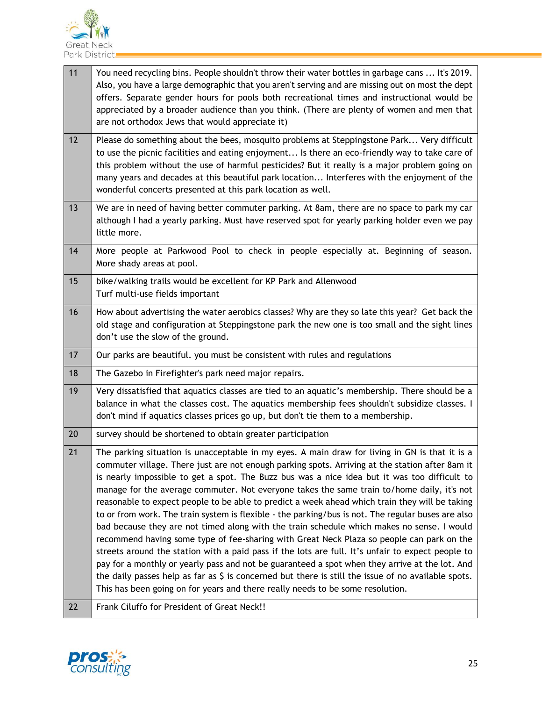

| 11 | You need recycling bins. People shouldn't throw their water bottles in garbage cans  It's 2019.<br>Also, you have a large demographic that you aren't serving and are missing out on most the dept<br>offers. Separate gender hours for pools both recreational times and instructional would be<br>appreciated by a broader audience than you think. (There are plenty of women and men that<br>are not orthodox Jews that would appreciate it)                                                                                                                                                                                                                                                                                                                                                                                                                                                                                                                                                                                                                                                                                                                                                              |
|----|---------------------------------------------------------------------------------------------------------------------------------------------------------------------------------------------------------------------------------------------------------------------------------------------------------------------------------------------------------------------------------------------------------------------------------------------------------------------------------------------------------------------------------------------------------------------------------------------------------------------------------------------------------------------------------------------------------------------------------------------------------------------------------------------------------------------------------------------------------------------------------------------------------------------------------------------------------------------------------------------------------------------------------------------------------------------------------------------------------------------------------------------------------------------------------------------------------------|
| 12 | Please do something about the bees, mosquito problems at Steppingstone Park Very difficult<br>to use the picnic facilities and eating enjoyment Is there an eco-friendly way to take care of<br>this problem without the use of harmful pesticides? But it really is a major problem going on<br>many years and decades at this beautiful park location Interferes with the enjoyment of the<br>wonderful concerts presented at this park location as well.                                                                                                                                                                                                                                                                                                                                                                                                                                                                                                                                                                                                                                                                                                                                                   |
| 13 | We are in need of having better commuter parking. At 8am, there are no space to park my car<br>although I had a yearly parking. Must have reserved spot for yearly parking holder even we pay<br>little more.                                                                                                                                                                                                                                                                                                                                                                                                                                                                                                                                                                                                                                                                                                                                                                                                                                                                                                                                                                                                 |
| 14 | More people at Parkwood Pool to check in people especially at. Beginning of season.<br>More shady areas at pool.                                                                                                                                                                                                                                                                                                                                                                                                                                                                                                                                                                                                                                                                                                                                                                                                                                                                                                                                                                                                                                                                                              |
| 15 | bike/walking trails would be excellent for KP Park and Allenwood<br>Turf multi-use fields important                                                                                                                                                                                                                                                                                                                                                                                                                                                                                                                                                                                                                                                                                                                                                                                                                                                                                                                                                                                                                                                                                                           |
| 16 | How about advertising the water aerobics classes? Why are they so late this year? Get back the<br>old stage and configuration at Steppingstone park the new one is too small and the sight lines<br>don't use the slow of the ground.                                                                                                                                                                                                                                                                                                                                                                                                                                                                                                                                                                                                                                                                                                                                                                                                                                                                                                                                                                         |
| 17 | Our parks are beautiful. you must be consistent with rules and regulations                                                                                                                                                                                                                                                                                                                                                                                                                                                                                                                                                                                                                                                                                                                                                                                                                                                                                                                                                                                                                                                                                                                                    |
| 18 | The Gazebo in Firefighter's park need major repairs.                                                                                                                                                                                                                                                                                                                                                                                                                                                                                                                                                                                                                                                                                                                                                                                                                                                                                                                                                                                                                                                                                                                                                          |
| 19 | Very dissatisfied that aquatics classes are tied to an aquatic's membership. There should be a<br>balance in what the classes cost. The aquatics membership fees shouldn't subsidize classes. I<br>don't mind if aquatics classes prices go up, but don't tie them to a membership.                                                                                                                                                                                                                                                                                                                                                                                                                                                                                                                                                                                                                                                                                                                                                                                                                                                                                                                           |
| 20 | survey should be shortened to obtain greater participation                                                                                                                                                                                                                                                                                                                                                                                                                                                                                                                                                                                                                                                                                                                                                                                                                                                                                                                                                                                                                                                                                                                                                    |
| 21 | The parking situation is unacceptable in my eyes. A main draw for living in GN is that it is a<br>commuter village. There just are not enough parking spots. Arriving at the station after 8am it<br>is nearly impossible to get a spot. The Buzz bus was a nice idea but it was too difficult to<br>manage for the average commuter. Not everyone takes the same train to/home daily, it's not<br>reasonable to expect people to be able to predict a week ahead which train they will be taking<br>to or from work. The train system is flexible - the parking/bus is not. The regular buses are also<br>bad because they are not timed along with the train schedule which makes no sense. I would<br>recommend having some type of fee-sharing with Great Neck Plaza so people can park on the<br>streets around the station with a paid pass if the lots are full. It's unfair to expect people to<br>pay for a monthly or yearly pass and not be guaranteed a spot when they arrive at the lot. And<br>the daily passes help as far as $\frac{1}{2}$ is concerned but there is still the issue of no available spots.<br>This has been going on for years and there really needs to be some resolution. |
| 22 | Frank Ciluffo for President of Great Neck!!                                                                                                                                                                                                                                                                                                                                                                                                                                                                                                                                                                                                                                                                                                                                                                                                                                                                                                                                                                                                                                                                                                                                                                   |

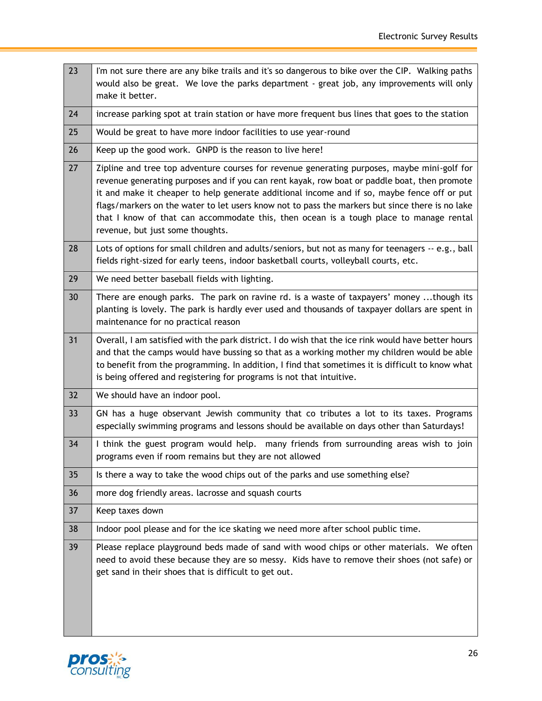| 23 | I'm not sure there are any bike trails and it's so dangerous to bike over the CIP. Walking paths<br>would also be great. We love the parks department - great job, any improvements will only<br>make it better.                                                                                                                                                                                                                                                                                                            |
|----|-----------------------------------------------------------------------------------------------------------------------------------------------------------------------------------------------------------------------------------------------------------------------------------------------------------------------------------------------------------------------------------------------------------------------------------------------------------------------------------------------------------------------------|
| 24 | increase parking spot at train station or have more frequent bus lines that goes to the station                                                                                                                                                                                                                                                                                                                                                                                                                             |
| 25 | Would be great to have more indoor facilities to use year-round                                                                                                                                                                                                                                                                                                                                                                                                                                                             |
| 26 | Keep up the good work. GNPD is the reason to live here!                                                                                                                                                                                                                                                                                                                                                                                                                                                                     |
| 27 | Zipline and tree top adventure courses for revenue generating purposes, maybe mini-golf for<br>revenue generating purposes and if you can rent kayak, row boat or paddle boat, then promote<br>it and make it cheaper to help generate additional income and if so, maybe fence off or put<br>flags/markers on the water to let users know not to pass the markers but since there is no lake<br>that I know of that can accommodate this, then ocean is a tough place to manage rental<br>revenue, but just some thoughts. |
| 28 | Lots of options for small children and adults/seniors, but not as many for teenagers -- e.g., ball<br>fields right-sized for early teens, indoor basketball courts, volleyball courts, etc.                                                                                                                                                                                                                                                                                                                                 |
| 29 | We need better baseball fields with lighting.                                                                                                                                                                                                                                                                                                                                                                                                                                                                               |
| 30 | There are enough parks. The park on ravine rd. is a waste of taxpayers' money though its<br>planting is lovely. The park is hardly ever used and thousands of taxpayer dollars are spent in<br>maintenance for no practical reason                                                                                                                                                                                                                                                                                          |
| 31 | Overall, I am satisfied with the park district. I do wish that the ice rink would have better hours<br>and that the camps would have bussing so that as a working mother my children would be able<br>to benefit from the programming. In addition, I find that sometimes it is difficult to know what<br>is being offered and registering for programs is not that intuitive.                                                                                                                                              |
| 32 | We should have an indoor pool.                                                                                                                                                                                                                                                                                                                                                                                                                                                                                              |
| 33 | GN has a huge observant Jewish community that co tributes a lot to its taxes. Programs<br>especially swimming programs and lessons should be available on days other than Saturdays!                                                                                                                                                                                                                                                                                                                                        |
| 34 | I think the guest program would help. many friends from surrounding areas wish to join<br>programs even if room remains but they are not allowed                                                                                                                                                                                                                                                                                                                                                                            |
| 35 | Is there a way to take the wood chips out of the parks and use something else?                                                                                                                                                                                                                                                                                                                                                                                                                                              |
| 36 | more dog friendly areas. lacrosse and squash courts                                                                                                                                                                                                                                                                                                                                                                                                                                                                         |
| 37 | Keep taxes down                                                                                                                                                                                                                                                                                                                                                                                                                                                                                                             |
| 38 | Indoor pool please and for the ice skating we need more after school public time.                                                                                                                                                                                                                                                                                                                                                                                                                                           |
| 39 | Please replace playground beds made of sand with wood chips or other materials. We often<br>need to avoid these because they are so messy. Kids have to remove their shoes (not safe) or<br>get sand in their shoes that is difficult to get out.                                                                                                                                                                                                                                                                           |

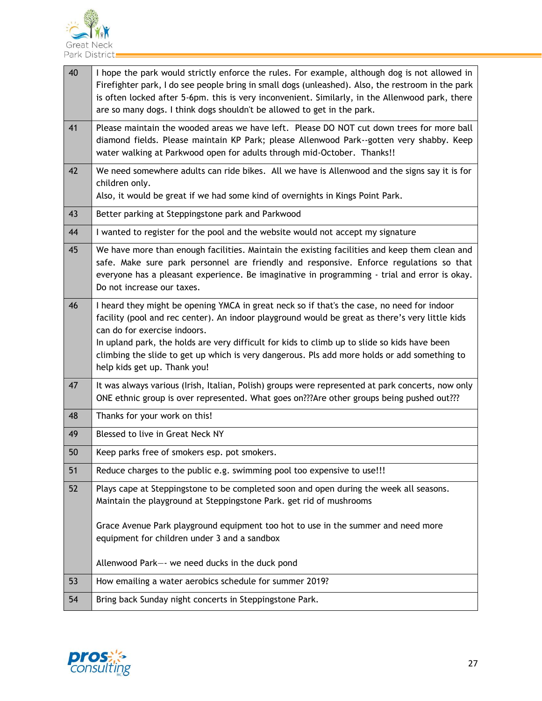

| 40 | I hope the park would strictly enforce the rules. For example, although dog is not allowed in<br>Firefighter park, I do see people bring in small dogs (unleashed). Also, the restroom in the park<br>is often locked after 5-6pm. this is very inconvenient. Similarly, in the Allenwood park, there<br>are so many dogs. I think dogs shouldn't be allowed to get in the park.                                                                              |
|----|---------------------------------------------------------------------------------------------------------------------------------------------------------------------------------------------------------------------------------------------------------------------------------------------------------------------------------------------------------------------------------------------------------------------------------------------------------------|
| 41 | Please maintain the wooded areas we have left. Please DO NOT cut down trees for more ball<br>diamond fields. Please maintain KP Park; please Allenwood Park--gotten very shabby. Keep<br>water walking at Parkwood open for adults through mid-October. Thanks!!                                                                                                                                                                                              |
| 42 | We need somewhere adults can ride bikes. All we have is Allenwood and the signs say it is for<br>children only.<br>Also, it would be great if we had some kind of overnights in Kings Point Park.                                                                                                                                                                                                                                                             |
| 43 | Better parking at Steppingstone park and Parkwood                                                                                                                                                                                                                                                                                                                                                                                                             |
| 44 | I wanted to register for the pool and the website would not accept my signature                                                                                                                                                                                                                                                                                                                                                                               |
| 45 | We have more than enough facilities. Maintain the existing facilities and keep them clean and<br>safe. Make sure park personnel are friendly and responsive. Enforce regulations so that<br>everyone has a pleasant experience. Be imaginative in programming - trial and error is okay.<br>Do not increase our taxes.                                                                                                                                        |
| 46 | I heard they might be opening YMCA in great neck so if that's the case, no need for indoor<br>facility (pool and rec center). An indoor playground would be great as there's very little kids<br>can do for exercise indoors.<br>In upland park, the holds are very difficult for kids to climb up to slide so kids have been<br>climbing the slide to get up which is very dangerous. Pls add more holds or add something to<br>help kids get up. Thank you! |
| 47 | It was always various (Irish, Italian, Polish) groups were represented at park concerts, now only<br>ONE ethnic group is over represented. What goes on???Are other groups being pushed out???                                                                                                                                                                                                                                                                |
| 48 | Thanks for your work on this!                                                                                                                                                                                                                                                                                                                                                                                                                                 |
| 49 | Blessed to live in Great Neck NY                                                                                                                                                                                                                                                                                                                                                                                                                              |
| 50 | Keep parks free of smokers esp. pot smokers.                                                                                                                                                                                                                                                                                                                                                                                                                  |
| 51 | Reduce charges to the public e.g. swimming pool too expensive to use!!!                                                                                                                                                                                                                                                                                                                                                                                       |
| 52 | Plays cape at Steppingstone to be completed soon and open during the week all seasons.<br>Maintain the playground at Steppingstone Park. get rid of mushrooms                                                                                                                                                                                                                                                                                                 |
|    | Grace Avenue Park playground equipment too hot to use in the summer and need more<br>equipment for children under 3 and a sandbox                                                                                                                                                                                                                                                                                                                             |
|    | Allenwood Park-- we need ducks in the duck pond                                                                                                                                                                                                                                                                                                                                                                                                               |
| 53 | How emailing a water aerobics schedule for summer 2019?                                                                                                                                                                                                                                                                                                                                                                                                       |
| 54 | Bring back Sunday night concerts in Steppingstone Park.                                                                                                                                                                                                                                                                                                                                                                                                       |

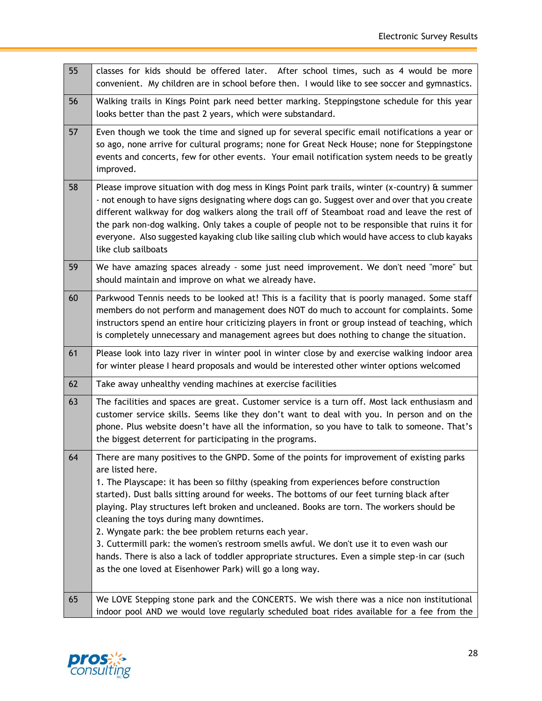-

| 55 | classes for kids should be offered later. After school times, such as 4 would be more<br>convenient. My children are in school before then. I would like to see soccer and gymnastics.                                                                                                                                                                                                                                                                                                                                                                                                                                                                                                                                                                          |
|----|-----------------------------------------------------------------------------------------------------------------------------------------------------------------------------------------------------------------------------------------------------------------------------------------------------------------------------------------------------------------------------------------------------------------------------------------------------------------------------------------------------------------------------------------------------------------------------------------------------------------------------------------------------------------------------------------------------------------------------------------------------------------|
| 56 | Walking trails in Kings Point park need better marking. Steppingstone schedule for this year<br>looks better than the past 2 years, which were substandard.                                                                                                                                                                                                                                                                                                                                                                                                                                                                                                                                                                                                     |
| 57 | Even though we took the time and signed up for several specific email notifications a year or<br>so ago, none arrive for cultural programs; none for Great Neck House; none for Steppingstone<br>events and concerts, few for other events. Your email notification system needs to be greatly<br>improved.                                                                                                                                                                                                                                                                                                                                                                                                                                                     |
| 58 | Please improve situation with dog mess in Kings Point park trails, winter (x-country) & summer<br>- not enough to have signs designating where dogs can go. Suggest over and over that you create<br>different walkway for dog walkers along the trail off of Steamboat road and leave the rest of<br>the park non-dog walking. Only takes a couple of people not to be responsible that ruins it for<br>everyone. Also suggested kayaking club like sailing club which would have access to club kayaks<br>like club sailboats                                                                                                                                                                                                                                 |
| 59 | We have amazing spaces already - some just need improvement. We don't need "more" but<br>should maintain and improve on what we already have.                                                                                                                                                                                                                                                                                                                                                                                                                                                                                                                                                                                                                   |
| 60 | Parkwood Tennis needs to be looked at! This is a facility that is poorly managed. Some staff<br>members do not perform and management does NOT do much to account for complaints. Some<br>instructors spend an entire hour criticizing players in front or group instead of teaching, which<br>is completely unnecessary and management agrees but does nothing to change the situation.                                                                                                                                                                                                                                                                                                                                                                        |
| 61 | Please look into lazy river in winter pool in winter close by and exercise walking indoor area<br>for winter please I heard proposals and would be interested other winter options welcomed                                                                                                                                                                                                                                                                                                                                                                                                                                                                                                                                                                     |
| 62 | Take away unhealthy vending machines at exercise facilities                                                                                                                                                                                                                                                                                                                                                                                                                                                                                                                                                                                                                                                                                                     |
| 63 | The facilities and spaces are great. Customer service is a turn off. Most lack enthusiasm and<br>customer service skills. Seems like they don't want to deal with you. In person and on the<br>phone. Plus website doesn't have all the information, so you have to talk to someone. That's<br>the biggest deterrent for participating in the programs.                                                                                                                                                                                                                                                                                                                                                                                                         |
| 64 | There are many positives to the GNPD. Some of the points for improvement of existing parks<br>are listed here.<br>1. The Playscape: it has been so filthy (speaking from experiences before construction<br>started). Dust balls sitting around for weeks. The bottoms of our feet turning black after<br>playing. Play structures left broken and uncleaned. Books are torn. The workers should be<br>cleaning the toys during many downtimes.<br>2. Wyngate park: the bee problem returns each year.<br>3. Cuttermill park: the women's restroom smells awful. We don't use it to even wash our<br>hands. There is also a lack of toddler appropriate structures. Even a simple step-in car (such<br>as the one loved at Eisenhower Park) will go a long way. |
| 65 | We LOVE Stepping stone park and the CONCERTS. We wish there was a nice non institutional<br>indoor pool AND we would love regularly scheduled boat rides available for a fee from the                                                                                                                                                                                                                                                                                                                                                                                                                                                                                                                                                                           |

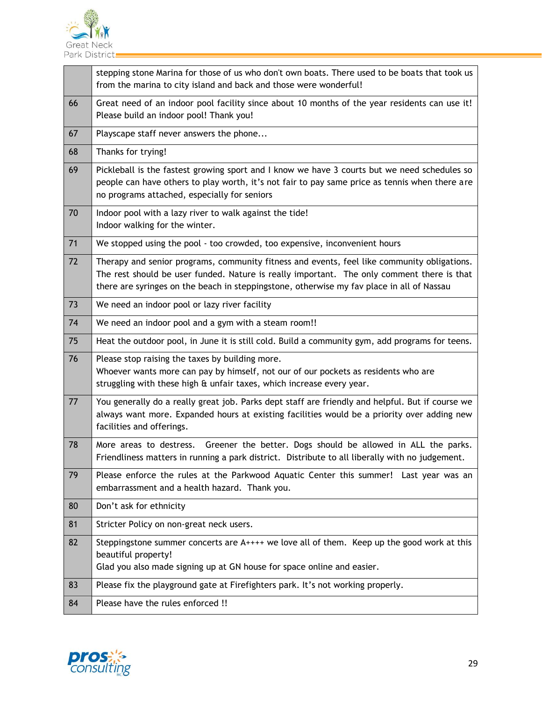

|    | stepping stone Marina for those of us who don't own boats. There used to be boats that took us<br>from the marina to city island and back and those were wonderful!                                                                                                                    |
|----|----------------------------------------------------------------------------------------------------------------------------------------------------------------------------------------------------------------------------------------------------------------------------------------|
| 66 | Great need of an indoor pool facility since about 10 months of the year residents can use it!<br>Please build an indoor pool! Thank you!                                                                                                                                               |
| 67 | Playscape staff never answers the phone                                                                                                                                                                                                                                                |
| 68 | Thanks for trying!                                                                                                                                                                                                                                                                     |
| 69 | Pickleball is the fastest growing sport and I know we have 3 courts but we need schedules so<br>people can have others to play worth, it's not fair to pay same price as tennis when there are<br>no programs attached, especially for seniors                                         |
| 70 | Indoor pool with a lazy river to walk against the tide!<br>Indoor walking for the winter.                                                                                                                                                                                              |
| 71 | We stopped using the pool - too crowded, too expensive, inconvenient hours                                                                                                                                                                                                             |
| 72 | Therapy and senior programs, community fitness and events, feel like community obligations.<br>The rest should be user funded. Nature is really important. The only comment there is that<br>there are syringes on the beach in steppingstone, otherwise my fav place in all of Nassau |
| 73 | We need an indoor pool or lazy river facility                                                                                                                                                                                                                                          |
| 74 | We need an indoor pool and a gym with a steam room!!                                                                                                                                                                                                                                   |
| 75 | Heat the outdoor pool, in June it is still cold. Build a community gym, add programs for teens.                                                                                                                                                                                        |
| 76 | Please stop raising the taxes by building more.<br>Whoever wants more can pay by himself, not our of our pockets as residents who are<br>struggling with these high & unfair taxes, which increase every year.                                                                         |
| 77 | You generally do a really great job. Parks dept staff are friendly and helpful. But if course we<br>always want more. Expanded hours at existing facilities would be a priority over adding new<br>facilities and offerings.                                                           |
| 78 | Greener the better. Dogs should be allowed in ALL the parks.<br>More areas to destress.<br>Friendliness matters in running a park district. Distribute to all liberally with no judgement.                                                                                             |
| 79 | Please enforce the rules at the Parkwood Aquatic Center this summer! Last year was an<br>embarrassment and a health hazard. Thank you.                                                                                                                                                 |
| 80 | Don't ask for ethnicity                                                                                                                                                                                                                                                                |
| 81 | Stricter Policy on non-great neck users.                                                                                                                                                                                                                                               |
| 82 | Steppingstone summer concerts are A++++ we love all of them. Keep up the good work at this<br>beautiful property!<br>Glad you also made signing up at GN house for space online and easier.                                                                                            |
| 83 | Please fix the playground gate at Firefighters park. It's not working properly.                                                                                                                                                                                                        |
| 84 | Please have the rules enforced !!                                                                                                                                                                                                                                                      |

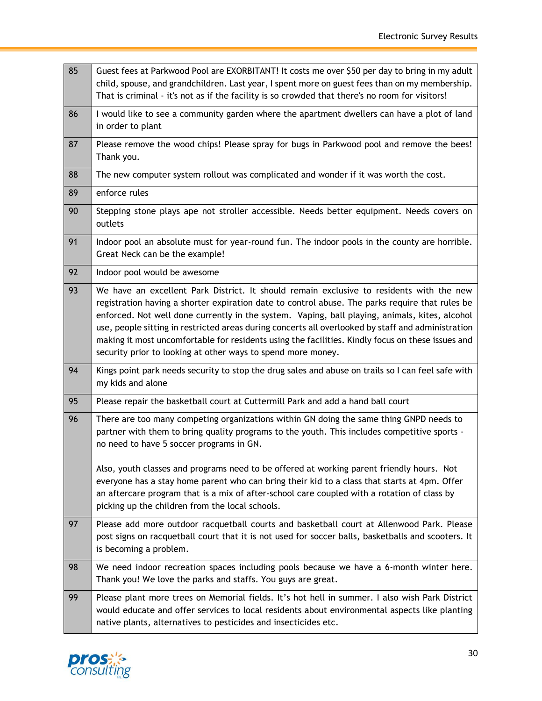$\overline{\phantom{0}}$ 

| 85 | Guest fees at Parkwood Pool are EXORBITANT! It costs me over \$50 per day to bring in my adult<br>child, spouse, and grandchildren. Last year, I spent more on guest fees than on my membership.<br>That is criminal - it's not as if the facility is so crowded that there's no room for visitors!                                                                                                                                                                                                                                                                      |
|----|--------------------------------------------------------------------------------------------------------------------------------------------------------------------------------------------------------------------------------------------------------------------------------------------------------------------------------------------------------------------------------------------------------------------------------------------------------------------------------------------------------------------------------------------------------------------------|
| 86 | I would like to see a community garden where the apartment dwellers can have a plot of land<br>in order to plant                                                                                                                                                                                                                                                                                                                                                                                                                                                         |
| 87 | Please remove the wood chips! Please spray for bugs in Parkwood pool and remove the bees!<br>Thank you.                                                                                                                                                                                                                                                                                                                                                                                                                                                                  |
| 88 | The new computer system rollout was complicated and wonder if it was worth the cost.                                                                                                                                                                                                                                                                                                                                                                                                                                                                                     |
| 89 | enforce rules                                                                                                                                                                                                                                                                                                                                                                                                                                                                                                                                                            |
| 90 | Stepping stone plays ape not stroller accessible. Needs better equipment. Needs covers on<br>outlets                                                                                                                                                                                                                                                                                                                                                                                                                                                                     |
| 91 | Indoor pool an absolute must for year-round fun. The indoor pools in the county are horrible.<br>Great Neck can be the example!                                                                                                                                                                                                                                                                                                                                                                                                                                          |
| 92 | Indoor pool would be awesome                                                                                                                                                                                                                                                                                                                                                                                                                                                                                                                                             |
| 93 | We have an excellent Park District. It should remain exclusive to residents with the new<br>registration having a shorter expiration date to control abuse. The parks require that rules be<br>enforced. Not well done currently in the system. Vaping, ball playing, animals, kites, alcohol<br>use, people sitting in restricted areas during concerts all overlooked by staff and administration<br>making it most uncomfortable for residents using the facilities. Kindly focus on these issues and<br>security prior to looking at other ways to spend more money. |
| 94 | Kings point park needs security to stop the drug sales and abuse on trails so I can feel safe with<br>my kids and alone                                                                                                                                                                                                                                                                                                                                                                                                                                                  |
| 95 | Please repair the basketball court at Cuttermill Park and add a hand ball court                                                                                                                                                                                                                                                                                                                                                                                                                                                                                          |
| 96 | There are too many competing organizations within GN doing the same thing GNPD needs to<br>partner with them to bring quality programs to the youth. This includes competitive sports -<br>no need to have 5 soccer programs in GN.                                                                                                                                                                                                                                                                                                                                      |
|    | Also, youth classes and programs need to be offered at working parent friendly hours. Not<br>everyone has a stay home parent who can bring their kid to a class that starts at 4pm. Offer<br>an aftercare program that is a mix of after-school care coupled with a rotation of class by<br>picking up the children from the local schools.                                                                                                                                                                                                                              |
| 97 | Please add more outdoor racquetball courts and basketball court at Allenwood Park. Please<br>post signs on racquetball court that it is not used for soccer balls, basketballs and scooters. It<br>is becoming a problem.                                                                                                                                                                                                                                                                                                                                                |
| 98 | We need indoor recreation spaces including pools because we have a 6-month winter here.<br>Thank you! We love the parks and staffs. You guys are great.                                                                                                                                                                                                                                                                                                                                                                                                                  |
| 99 | Please plant more trees on Memorial fields. It's hot hell in summer. I also wish Park District<br>would educate and offer services to local residents about environmental aspects like planting<br>native plants, alternatives to pesticides and insecticides etc.                                                                                                                                                                                                                                                                                                       |

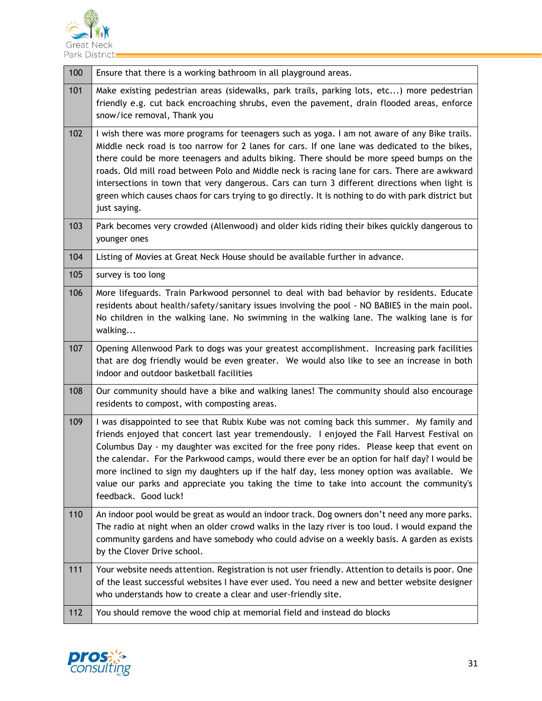

| 100 | Ensure that there is a working bathroom in all playground areas.                                                                                                                                                                                                                                                                                                                                                                                                                                                                                                                                                  |
|-----|-------------------------------------------------------------------------------------------------------------------------------------------------------------------------------------------------------------------------------------------------------------------------------------------------------------------------------------------------------------------------------------------------------------------------------------------------------------------------------------------------------------------------------------------------------------------------------------------------------------------|
| 101 | Make existing pedestrian areas (sidewalks, park trails, parking lots, etc) more pedestrian<br>friendly e.g. cut back encroaching shrubs, even the pavement, drain flooded areas, enforce<br>snow/ice removal, Thank you                                                                                                                                                                                                                                                                                                                                                                                           |
| 102 | I wish there was more programs for teenagers such as yoga. I am not aware of any Bike trails.<br>Middle neck road is too narrow for 2 lanes for cars. If one lane was dedicated to the bikes,<br>there could be more teenagers and adults biking. There should be more speed bumps on the<br>roads. Old mill road between Polo and Middle neck is racing lane for cars. There are awkward<br>intersections in town that very dangerous. Cars can turn 3 different directions when light is<br>green which causes chaos for cars trying to go directly. It is nothing to do with park district but<br>just saying. |
| 103 | Park becomes very crowded (Allenwood) and older kids riding their bikes quickly dangerous to<br>younger ones                                                                                                                                                                                                                                                                                                                                                                                                                                                                                                      |
| 104 | Listing of Movies at Great Neck House should be available further in advance.                                                                                                                                                                                                                                                                                                                                                                                                                                                                                                                                     |
| 105 | survey is too long                                                                                                                                                                                                                                                                                                                                                                                                                                                                                                                                                                                                |
| 106 | More lifeguards. Train Parkwood personnel to deal with bad behavior by residents. Educate<br>residents about health/safety/sanitary issues involving the pool - NO BABIES in the main pool.<br>No children in the walking lane. No swimming in the walking lane. The walking lane is for<br>walking                                                                                                                                                                                                                                                                                                               |
| 107 | Opening Allenwood Park to dogs was your greatest accomplishment. Increasing park facilities<br>that are dog friendly would be even greater. We would also like to see an increase in both<br>indoor and outdoor basketball facilities                                                                                                                                                                                                                                                                                                                                                                             |
| 108 | Our community should have a bike and walking lanes! The community should also encourage<br>residents to compost, with composting areas.                                                                                                                                                                                                                                                                                                                                                                                                                                                                           |
| 109 | I was disappointed to see that Rubix Kube was not coming back this summer. My family and<br>friends enjoyed that concert last year tremendously. I enjoyed the Fall Harvest Festival on<br>Columbus Day - my daughter was excited for the free pony rides. Please keep that event on<br>the calendar. For the Parkwood camps, would there ever be an option for half day? I would be<br>more inclined to sign my daughters up if the half day, less money option was available. We<br>value our parks and appreciate you taking the time to take into account the community's<br>feedback. Good luck!             |
| 110 | An indoor pool would be great as would an indoor track. Dog owners don't need any more parks.<br>The radio at night when an older crowd walks in the lazy river is too loud. I would expand the<br>community gardens and have somebody who could advise on a weekly basis. A garden as exists<br>by the Clover Drive school.                                                                                                                                                                                                                                                                                      |
| 111 | Your website needs attention. Registration is not user friendly. Attention to details is poor. One<br>of the least successful websites I have ever used. You need a new and better website designer<br>who understands how to create a clear and user-friendly site.                                                                                                                                                                                                                                                                                                                                              |
| 112 | You should remove the wood chip at memorial field and instead do blocks                                                                                                                                                                                                                                                                                                                                                                                                                                                                                                                                           |

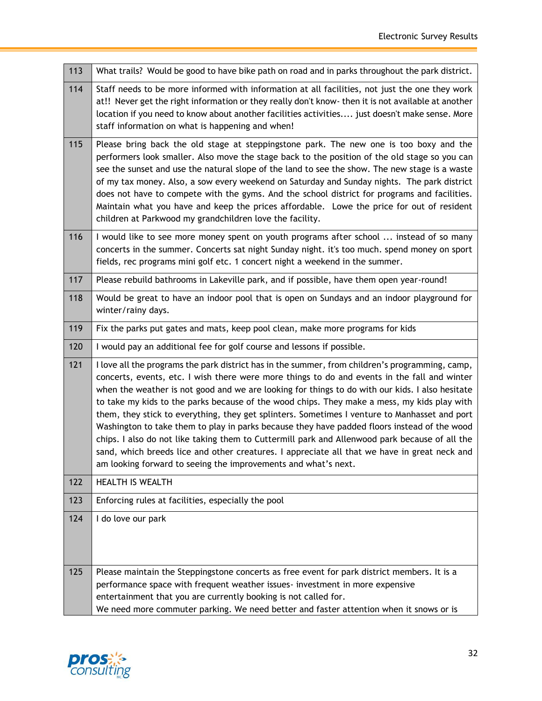L,

| 113 | What trails? Would be good to have bike path on road and in parks throughout the park district.                                                                                                                                                                                                                                                                                                                                                                                                                                                                                                                                                                                                                                                                                                                                                                        |
|-----|------------------------------------------------------------------------------------------------------------------------------------------------------------------------------------------------------------------------------------------------------------------------------------------------------------------------------------------------------------------------------------------------------------------------------------------------------------------------------------------------------------------------------------------------------------------------------------------------------------------------------------------------------------------------------------------------------------------------------------------------------------------------------------------------------------------------------------------------------------------------|
| 114 | Staff needs to be more informed with information at all facilities, not just the one they work<br>at!! Never get the right information or they really don't know- then it is not available at another<br>location if you need to know about another facilities activities just doesn't make sense. More<br>staff information on what is happening and when!                                                                                                                                                                                                                                                                                                                                                                                                                                                                                                            |
| 115 | Please bring back the old stage at steppingstone park. The new one is too boxy and the<br>performers look smaller. Also move the stage back to the position of the old stage so you can<br>see the sunset and use the natural slope of the land to see the show. The new stage is a waste<br>of my tax money. Also, a sow every weekend on Saturday and Sunday nights. The park district<br>does not have to compete with the gyms. And the school district for programs and facilities.<br>Maintain what you have and keep the prices affordable. Lowe the price for out of resident<br>children at Parkwood my grandchildren love the facility.                                                                                                                                                                                                                      |
| 116 | I would like to see more money spent on youth programs after school  instead of so many<br>concerts in the summer. Concerts sat night Sunday night. it's too much. spend money on sport<br>fields, rec programs mini golf etc. 1 concert night a weekend in the summer.                                                                                                                                                                                                                                                                                                                                                                                                                                                                                                                                                                                                |
| 117 | Please rebuild bathrooms in Lakeville park, and if possible, have them open year-round!                                                                                                                                                                                                                                                                                                                                                                                                                                                                                                                                                                                                                                                                                                                                                                                |
| 118 | Would be great to have an indoor pool that is open on Sundays and an indoor playground for<br>winter/rainy days.                                                                                                                                                                                                                                                                                                                                                                                                                                                                                                                                                                                                                                                                                                                                                       |
| 119 | Fix the parks put gates and mats, keep pool clean, make more programs for kids                                                                                                                                                                                                                                                                                                                                                                                                                                                                                                                                                                                                                                                                                                                                                                                         |
| 120 | I would pay an additional fee for golf course and lessons if possible.                                                                                                                                                                                                                                                                                                                                                                                                                                                                                                                                                                                                                                                                                                                                                                                                 |
| 121 | I love all the programs the park district has in the summer, from children's programming, camp,<br>concerts, events, etc. I wish there were more things to do and events in the fall and winter<br>when the weather is not good and we are looking for things to do with our kids. I also hesitate<br>to take my kids to the parks because of the wood chips. They make a mess, my kids play with<br>them, they stick to everything, they get splinters. Sometimes I venture to Manhasset and port<br>Washington to take them to play in parks because they have padded floors instead of the wood<br>chips. I also do not like taking them to Cuttermill park and Allenwood park because of all the<br>sand, which breeds lice and other creatures. I appreciate all that we have in great neck and<br>am looking forward to seeing the improvements and what's next. |
| 122 |                                                                                                                                                                                                                                                                                                                                                                                                                                                                                                                                                                                                                                                                                                                                                                                                                                                                        |
|     | <b>HEALTH IS WEALTH</b>                                                                                                                                                                                                                                                                                                                                                                                                                                                                                                                                                                                                                                                                                                                                                                                                                                                |
| 123 | Enforcing rules at facilities, especially the pool                                                                                                                                                                                                                                                                                                                                                                                                                                                                                                                                                                                                                                                                                                                                                                                                                     |
| 124 | I do love our park                                                                                                                                                                                                                                                                                                                                                                                                                                                                                                                                                                                                                                                                                                                                                                                                                                                     |

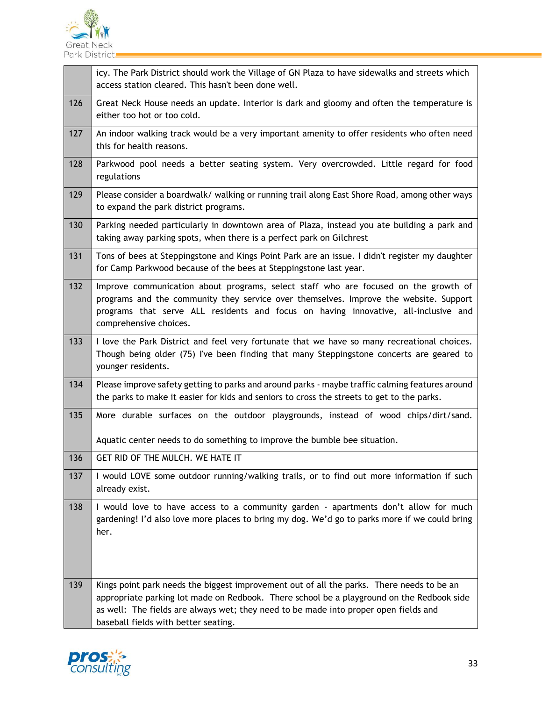

|     | icy. The Park District should work the Village of GN Plaza to have sidewalks and streets which<br>access station cleared. This hasn't been done well.                                                                                                                                                                  |
|-----|------------------------------------------------------------------------------------------------------------------------------------------------------------------------------------------------------------------------------------------------------------------------------------------------------------------------|
| 126 | Great Neck House needs an update. Interior is dark and gloomy and often the temperature is<br>either too hot or too cold.                                                                                                                                                                                              |
| 127 | An indoor walking track would be a very important amenity to offer residents who often need<br>this for health reasons.                                                                                                                                                                                                |
| 128 | Parkwood pool needs a better seating system. Very overcrowded. Little regard for food<br>regulations                                                                                                                                                                                                                   |
| 129 | Please consider a boardwalk/ walking or running trail along East Shore Road, among other ways<br>to expand the park district programs.                                                                                                                                                                                 |
| 130 | Parking needed particularly in downtown area of Plaza, instead you ate building a park and<br>taking away parking spots, when there is a perfect park on Gilchrest                                                                                                                                                     |
| 131 | Tons of bees at Steppingstone and Kings Point Park are an issue. I didn't register my daughter<br>for Camp Parkwood because of the bees at Steppingstone last year.                                                                                                                                                    |
| 132 | Improve communication about programs, select staff who are focused on the growth of<br>programs and the community they service over themselves. Improve the website. Support<br>programs that serve ALL residents and focus on having innovative, all-inclusive and<br>comprehensive choices.                          |
| 133 | I love the Park District and feel very fortunate that we have so many recreational choices.<br>Though being older (75) I've been finding that many Steppingstone concerts are geared to<br>younger residents.                                                                                                          |
| 134 | Please improve safety getting to parks and around parks - maybe traffic calming features around<br>the parks to make it easier for kids and seniors to cross the streets to get to the parks.                                                                                                                          |
| 135 | More durable surfaces on the outdoor playgrounds, instead of wood chips/dirt/sand.                                                                                                                                                                                                                                     |
|     | Aquatic center needs to do something to improve the bumble bee situation.                                                                                                                                                                                                                                              |
| 136 | GET RID OF THE MULCH. WE HATE IT                                                                                                                                                                                                                                                                                       |
| 137 | I would LOVE some outdoor running/walking trails, or to find out more information if such<br>already exist.                                                                                                                                                                                                            |
| 138 | I would love to have access to a community garden - apartments don't allow for much<br>gardening! I'd also love more places to bring my dog. We'd go to parks more if we could bring<br>her.                                                                                                                           |
| 139 | Kings point park needs the biggest improvement out of all the parks. There needs to be an<br>appropriate parking lot made on Redbook. There school be a playground on the Redbook side<br>as well: The fields are always wet; they need to be made into proper open fields and<br>baseball fields with better seating. |